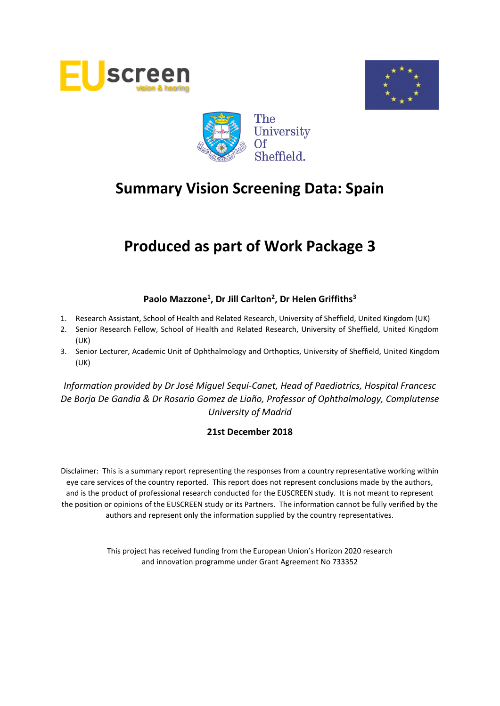





# **Produced as part of Work Package 3**

### **Paolo Mazzone<sup>1</sup> , Dr Jill Carlton<sup>2</sup> , Dr Helen Griffiths<sup>3</sup>**

- 1. Research Assistant, School of Health and Related Research, University of Sheffield, United Kingdom (UK)
- 2. Senior Research Fellow, School of Health and Related Research, University of Sheffield, United Kingdom (UK)
- 3. Senior Lecturer, Academic Unit of Ophthalmology and Orthoptics, University of Sheffield, United Kingdom (UK)

*Information provided by Dr José Miguel Sequí-Canet, Head of Paediatrics, Hospital Francesc De Borja De Gandia & Dr Rosario Gomez de Liaño, Professor of Ophthalmology, Complutense University of Madrid*

#### **21st December 2018**

Disclaimer: This is a summary report representing the responses from a country representative working within eye care services of the country reported. This report does not represent conclusions made by the authors, and is the product of professional research conducted for the EUSCREEN study. It is not meant to represent the position or opinions of the EUSCREEN study or its Partners. The information cannot be fully verified by the authors and represent only the information supplied by the country representatives.

> This project has received funding from the European Union's Horizon 2020 research and innovation programme under Grant Agreement No 733352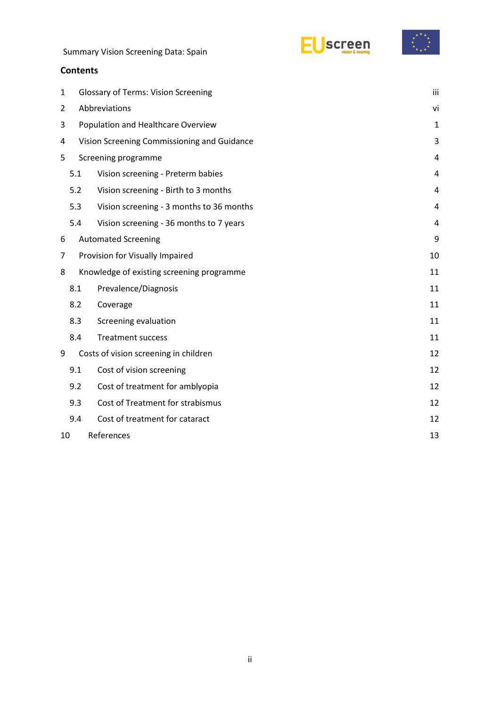**Contents**





| $\mathbf{1}$                          | <b>Glossary of Terms: Vision Screening</b>  |                                           |    |  |  |  |  |
|---------------------------------------|---------------------------------------------|-------------------------------------------|----|--|--|--|--|
| $\overline{2}$                        | Abbreviations                               |                                           |    |  |  |  |  |
| 3                                     | Population and Healthcare Overview          |                                           |    |  |  |  |  |
| 4                                     | Vision Screening Commissioning and Guidance |                                           |    |  |  |  |  |
| 5                                     |                                             | Screening programme                       | 4  |  |  |  |  |
|                                       | 5.1                                         | Vision screening - Preterm babies         | 4  |  |  |  |  |
|                                       | 5.2                                         | Vision screening - Birth to 3 months      | 4  |  |  |  |  |
|                                       | 5.3                                         | Vision screening - 3 months to 36 months  | 4  |  |  |  |  |
|                                       | 5.4                                         | Vision screening - 36 months to 7 years   | 4  |  |  |  |  |
| 6                                     |                                             | <b>Automated Screening</b>                | 9  |  |  |  |  |
| 7                                     |                                             | Provision for Visually Impaired           | 10 |  |  |  |  |
| 8                                     |                                             | Knowledge of existing screening programme |    |  |  |  |  |
|                                       | 8.1                                         | Prevalence/Diagnosis                      | 11 |  |  |  |  |
|                                       | 8.2                                         | Coverage                                  | 11 |  |  |  |  |
|                                       | 8.3                                         | Screening evaluation                      | 11 |  |  |  |  |
|                                       | 8.4                                         | <b>Treatment success</b>                  | 11 |  |  |  |  |
| 9                                     |                                             | Costs of vision screening in children     | 12 |  |  |  |  |
|                                       | 9.1                                         | Cost of vision screening                  | 12 |  |  |  |  |
|                                       | 9.2                                         | Cost of treatment for amblyopia           | 12 |  |  |  |  |
|                                       | 9.3                                         | Cost of Treatment for strabismus          |    |  |  |  |  |
| Cost of treatment for cataract<br>9.4 |                                             |                                           |    |  |  |  |  |
|                                       | References<br>10                            |                                           |    |  |  |  |  |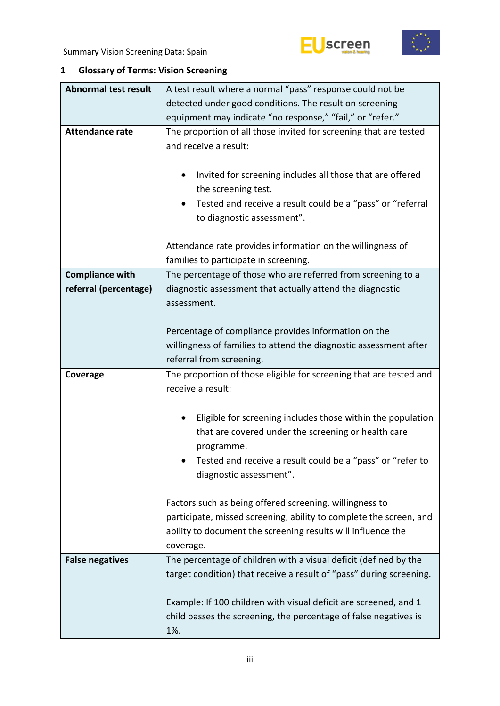



## <span id="page-2-0"></span>**1 Glossary of Terms: Vision Screening**

| <b>Abnormal test result</b> | A test result where a normal "pass" response could not be                                                                                                                                                                 |  |  |  |  |  |
|-----------------------------|---------------------------------------------------------------------------------------------------------------------------------------------------------------------------------------------------------------------------|--|--|--|--|--|
|                             | detected under good conditions. The result on screening                                                                                                                                                                   |  |  |  |  |  |
|                             | equipment may indicate "no response," "fail," or "refer."                                                                                                                                                                 |  |  |  |  |  |
| <b>Attendance rate</b>      | The proportion of all those invited for screening that are tested<br>and receive a result:                                                                                                                                |  |  |  |  |  |
|                             | Invited for screening includes all those that are offered<br>$\bullet$<br>the screening test.<br>Tested and receive a result could be a "pass" or "referral<br>٠                                                          |  |  |  |  |  |
|                             | to diagnostic assessment".                                                                                                                                                                                                |  |  |  |  |  |
|                             | Attendance rate provides information on the willingness of<br>families to participate in screening.                                                                                                                       |  |  |  |  |  |
| <b>Compliance with</b>      | The percentage of those who are referred from screening to a                                                                                                                                                              |  |  |  |  |  |
| referral (percentage)       | diagnostic assessment that actually attend the diagnostic                                                                                                                                                                 |  |  |  |  |  |
|                             | assessment.                                                                                                                                                                                                               |  |  |  |  |  |
|                             |                                                                                                                                                                                                                           |  |  |  |  |  |
|                             | Percentage of compliance provides information on the                                                                                                                                                                      |  |  |  |  |  |
|                             | willingness of families to attend the diagnostic assessment after                                                                                                                                                         |  |  |  |  |  |
|                             | referral from screening.                                                                                                                                                                                                  |  |  |  |  |  |
|                             |                                                                                                                                                                                                                           |  |  |  |  |  |
| Coverage                    | The proportion of those eligible for screening that are tested and                                                                                                                                                        |  |  |  |  |  |
|                             | receive a result:                                                                                                                                                                                                         |  |  |  |  |  |
|                             | Eligible for screening includes those within the population<br>that are covered under the screening or health care<br>programme.<br>Tested and receive a result could be a "pass" or "refer to<br>diagnostic assessment". |  |  |  |  |  |
|                             | Factors such as being offered screening, willingness to<br>participate, missed screening, ability to complete the screen, and<br>ability to document the screening results will influence the<br>coverage.                |  |  |  |  |  |
| <b>False negatives</b>      | The percentage of children with a visual deficit (defined by the<br>target condition) that receive a result of "pass" during screening.                                                                                   |  |  |  |  |  |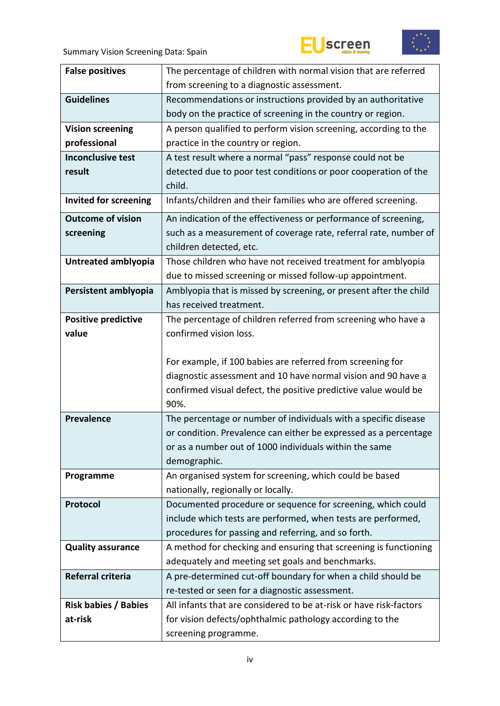





| <b>False positives</b>       | The percentage of children with normal vision that are referred                  |
|------------------------------|----------------------------------------------------------------------------------|
|                              | from screening to a diagnostic assessment.                                       |
| <b>Guidelines</b>            | Recommendations or instructions provided by an authoritative                     |
|                              | body on the practice of screening in the country or region.                      |
| <b>Vision screening</b>      | A person qualified to perform vision screening, according to the                 |
| professional                 | practice in the country or region.                                               |
| <b>Inconclusive test</b>     | A test result where a normal "pass" response could not be                        |
| result                       | detected due to poor test conditions or poor cooperation of the                  |
|                              | child.                                                                           |
| <b>Invited for screening</b> | Infants/children and their families who are offered screening.                   |
| <b>Outcome of vision</b>     | An indication of the effectiveness or performance of screening,                  |
| screening                    | such as a measurement of coverage rate, referral rate, number of                 |
|                              | children detected, etc.                                                          |
| Untreated amblyopia          | Those children who have not received treatment for amblyopia                     |
|                              | due to missed screening or missed follow-up appointment.                         |
| Persistent amblyopia         | Amblyopia that is missed by screening, or present after the child                |
|                              | has received treatment.                                                          |
| <b>Positive predictive</b>   | The percentage of children referred from screening who have a                    |
| value                        | confirmed vision loss.                                                           |
|                              |                                                                                  |
|                              | For example, if 100 babies are referred from screening for                       |
|                              |                                                                                  |
|                              | diagnostic assessment and 10 have normal vision and 90 have a                    |
|                              | confirmed visual defect, the positive predictive value would be                  |
|                              | 90%.                                                                             |
| <b>Prevalence</b>            | The percentage or number of individuals with a specific disease                  |
|                              | or condition. Prevalence can either be expressed as a percentage                 |
|                              | or as a number out of 1000 individuals within the same                           |
|                              | demographic.                                                                     |
| Programme                    | An organised system for screening, which could be based                          |
|                              | nationally, regionally or locally.                                               |
| Protocol                     | Documented procedure or sequence for screening, which could                      |
|                              | include which tests are performed, when tests are performed,                     |
|                              | procedures for passing and referring, and so forth.                              |
| <b>Quality assurance</b>     | A method for checking and ensuring that screening is functioning                 |
|                              | adequately and meeting set goals and benchmarks.                                 |
| Referral criteria            | A pre-determined cut-off boundary for when a child should be                     |
|                              | re-tested or seen for a diagnostic assessment.                                   |
| <b>Risk babies / Babies</b>  | All infants that are considered to be at-risk or have risk-factors               |
| at-risk                      | for vision defects/ophthalmic pathology according to the<br>screening programme. |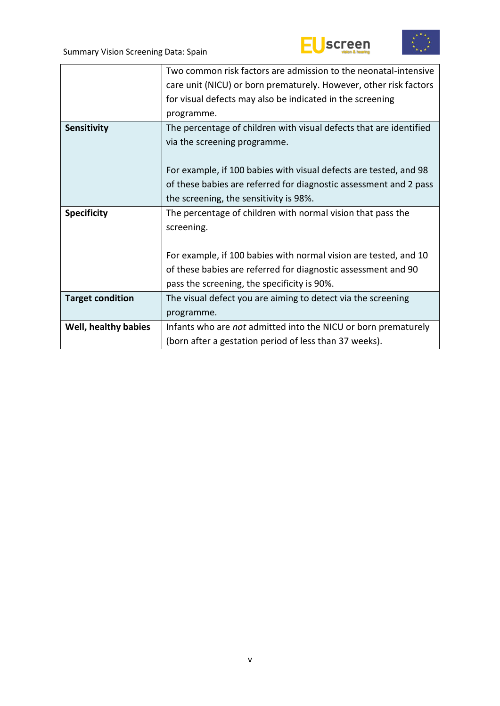



|                         | Two common risk factors are admission to the neonatal-intensive    |
|-------------------------|--------------------------------------------------------------------|
|                         | care unit (NICU) or born prematurely. However, other risk factors  |
|                         | for visual defects may also be indicated in the screening          |
|                         | programme.                                                         |
| Sensitivity             | The percentage of children with visual defects that are identified |
|                         | via the screening programme.                                       |
|                         |                                                                    |
|                         | For example, if 100 babies with visual defects are tested, and 98  |
|                         | of these babies are referred for diagnostic assessment and 2 pass  |
|                         | the screening, the sensitivity is 98%.                             |
| <b>Specificity</b>      | The percentage of children with normal vision that pass the        |
|                         | screening.                                                         |
|                         |                                                                    |
|                         | For example, if 100 babies with normal vision are tested, and 10   |
|                         | of these babies are referred for diagnostic assessment and 90      |
|                         | pass the screening, the specificity is 90%.                        |
| <b>Target condition</b> | The visual defect you are aiming to detect via the screening       |
|                         | programme.                                                         |
| Well, healthy babies    | Infants who are not admitted into the NICU or born prematurely     |
|                         | (born after a gestation period of less than 37 weeks).             |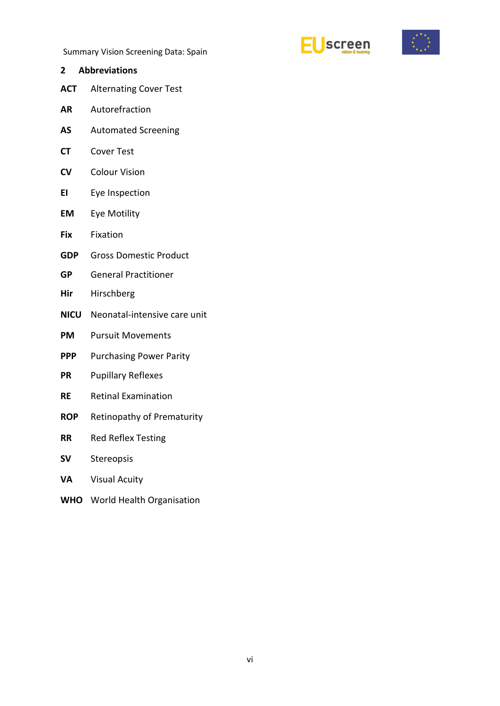



- <span id="page-5-0"></span>**2 Abbreviations ACT** Alternating Cover Test
- **AR** Autorefraction
- **AS** Automated Screening
- **CT** Cover Test
- **CV** Colour Vision
- **EI** Eye Inspection
- **EM** Eye Motility
- **Fix** Fixation
- **GDP** Gross Domestic Product
- **GP** General Practitioner
- **Hir** Hirschberg
- **NICU** Neonatal-intensive care unit
- **PM** Pursuit Movements
- **PPP** Purchasing Power Parity
- **PR** Pupillary Reflexes
- **RE** Retinal Examination
- **ROP** Retinopathy of Prematurity
- **RR** Red Reflex Testing
- **SV** Stereopsis
- **VA** Visual Acuity
- **WHO** World Health Organisation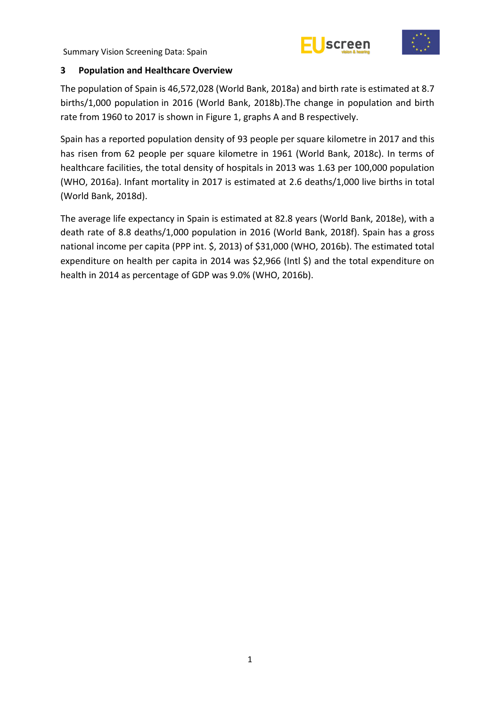



#### <span id="page-6-0"></span>**3 Population and Healthcare Overview**

The population of Spain is 46,572,028 (World Bank, 2018a) and birth rate is estimated at 8.7 births/1,000 population in 2016 (World Bank, 2018b).The change in population and birth rate from 1960 to 2017 is shown in Figure 1, graphs A and B respectively.

Spain has a reported population density of 93 people per square kilometre in 2017 and this has risen from 62 people per square kilometre in 1961 (World Bank, 2018c). In terms of healthcare facilities, the total density of hospitals in 2013 was 1.63 per 100,000 population (WHO, 2016a). Infant mortality in 2017 is estimated at 2.6 deaths/1,000 live births in total (World Bank, 2018d).

The average life expectancy in Spain is estimated at 82.8 years (World Bank, 2018e), with a death rate of 8.8 deaths/1,000 population in 2016 (World Bank, 2018f). Spain has a gross national income per capita (PPP int. \$, 2013) of \$31,000 (WHO, 2016b). The estimated total expenditure on health per capita in 2014 was \$2,966 (Intl \$) and the total expenditure on health in 2014 as percentage of GDP was 9.0% (WHO, 2016b).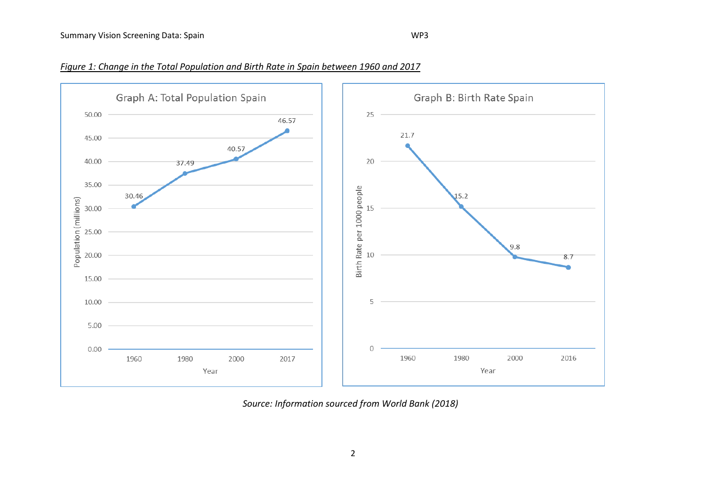#### Summary Vision Screening Data: Spain WASH CONSERVITY OF THE WASHINGTON WAS WITH WARD WAS WITH WASHINGTON WASHINGTON WASHINGTON WAS UNITED ASSESSMENT OF THE WASHINGTON WASHINGTON WAS A WASHINGTON WAS UNITED ASSESSMENT OF TH



*Figure 1: Change in the Total Population and Birth Rate in Spain between 1960 and 2017*

*Source: Information sourced from World Bank (2018)*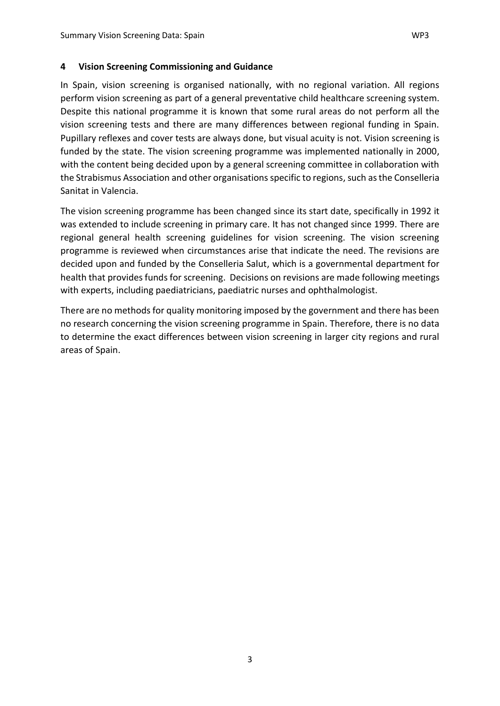#### <span id="page-8-0"></span>**4 Vision Screening Commissioning and Guidance**

In Spain, vision screening is organised nationally, with no regional variation. All regions perform vision screening as part of a general preventative child healthcare screening system. Despite this national programme it is known that some rural areas do not perform all the vision screening tests and there are many differences between regional funding in Spain. Pupillary reflexes and cover tests are always done, but visual acuity is not. Vision screening is funded by the state. The vision screening programme was implemented nationally in 2000, with the content being decided upon by a general screening committee in collaboration with the Strabismus Association and other organisations specific to regions, such as the Conselleria Sanitat in Valencia.

The vision screening programme has been changed since its start date, specifically in 1992 it was extended to include screening in primary care. It has not changed since 1999. There are regional general health screening guidelines for vision screening. The vision screening programme is reviewed when circumstances arise that indicate the need. The revisions are decided upon and funded by the Conselleria Salut, which is a governmental department for health that provides funds for screening. Decisions on revisions are made following meetings with experts, including paediatricians, paediatric nurses and ophthalmologist.

There are no methods for quality monitoring imposed by the government and there has been no research concerning the vision screening programme in Spain. Therefore, there is no data to determine the exact differences between vision screening in larger city regions and rural areas of Spain.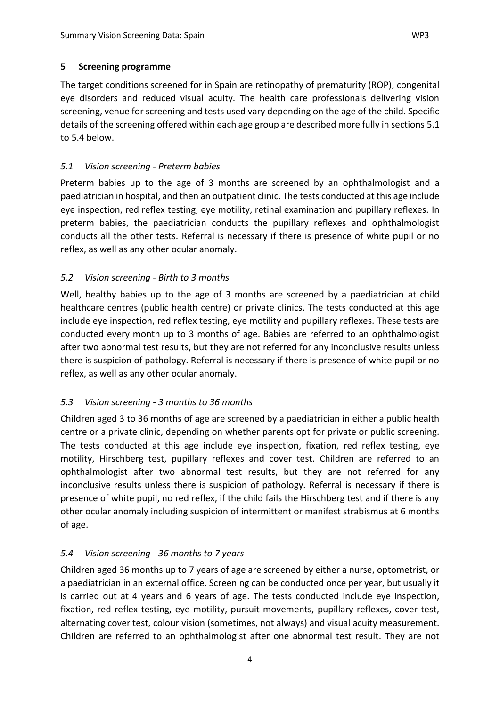<span id="page-9-0"></span>The target conditions screened for in Spain are retinopathy of prematurity (ROP), congenital eye disorders and reduced visual acuity. The health care professionals delivering vision screening, venue for screening and tests used vary depending on the age of the child. Specific details of the screening offered within each age group are described more fully in sections 5.1 to 5.4 below.

#### <span id="page-9-1"></span>*5.1 Vision screening - Preterm babies*

Preterm babies up to the age of 3 months are screened by an ophthalmologist and a paediatrician in hospital, and then an outpatient clinic. The tests conducted at this age include eye inspection, red reflex testing, eye motility, retinal examination and pupillary reflexes. In preterm babies, the paediatrician conducts the pupillary reflexes and ophthalmologist conducts all the other tests. Referral is necessary if there is presence of white pupil or no reflex, as well as any other ocular anomaly.

#### <span id="page-9-2"></span>*5.2 Vision screening - Birth to 3 months*

Well, healthy babies up to the age of 3 months are screened by a paediatrician at child healthcare centres (public health centre) or private clinics. The tests conducted at this age include eye inspection, red reflex testing, eye motility and pupillary reflexes. These tests are conducted every month up to 3 months of age. Babies are referred to an ophthalmologist after two abnormal test results, but they are not referred for any inconclusive results unless there is suspicion of pathology. Referral is necessary if there is presence of white pupil or no reflex, as well as any other ocular anomaly.

### <span id="page-9-3"></span>*5.3 Vision screening - 3 months to 36 months*

Children aged 3 to 36 months of age are screened by a paediatrician in either a public health centre or a private clinic, depending on whether parents opt for private or public screening. The tests conducted at this age include eye inspection, fixation, red reflex testing, eye motility, Hirschberg test, pupillary reflexes and cover test. Children are referred to an ophthalmologist after two abnormal test results, but they are not referred for any inconclusive results unless there is suspicion of pathology. Referral is necessary if there is presence of white pupil, no red reflex, if the child fails the Hirschberg test and if there is any other ocular anomaly including suspicion of intermittent or manifest strabismus at 6 months of age.

### <span id="page-9-4"></span>*5.4 Vision screening - 36 months to 7 years*

Children aged 36 months up to 7 years of age are screened by either a nurse, optometrist, or a paediatrician in an external office. Screening can be conducted once per year, but usually it is carried out at 4 years and 6 years of age. The tests conducted include eye inspection, fixation, red reflex testing, eye motility, pursuit movements, pupillary reflexes, cover test, alternating cover test, colour vision (sometimes, not always) and visual acuity measurement. Children are referred to an ophthalmologist after one abnormal test result. They are not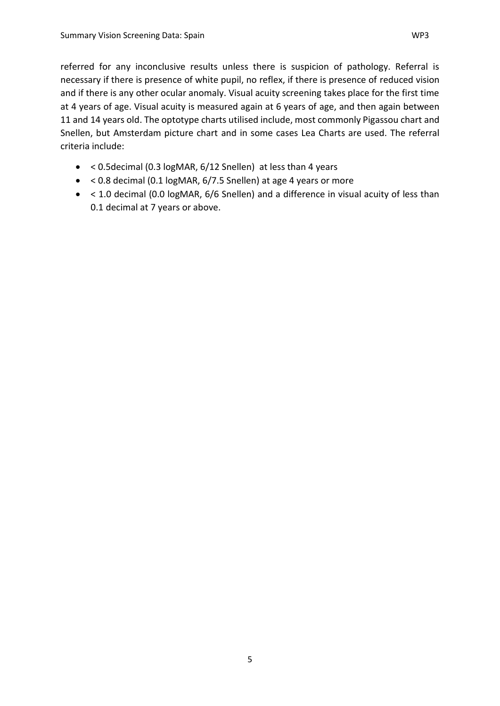referred for any inconclusive results unless there is suspicion of pathology. Referral is necessary if there is presence of white pupil, no reflex, if there is presence of reduced vision and if there is any other ocular anomaly. Visual acuity screening takes place for the first time at 4 years of age. Visual acuity is measured again at 6 years of age, and then again between 11 and 14 years old. The optotype charts utilised include, most commonly Pigassou chart and Snellen, but Amsterdam picture chart and in some cases Lea Charts are used. The referral criteria include:

- < 0.5decimal (0.3 logMAR, 6/12 Snellen) at less than 4 years
- $\bullet$  < 0.8 decimal (0.1 logMAR, 6/7.5 Snellen) at age 4 years or more
- $\bullet$  < 1.0 decimal (0.0 logMAR, 6/6 Snellen) and a difference in visual acuity of less than 0.1 decimal at 7 years or above.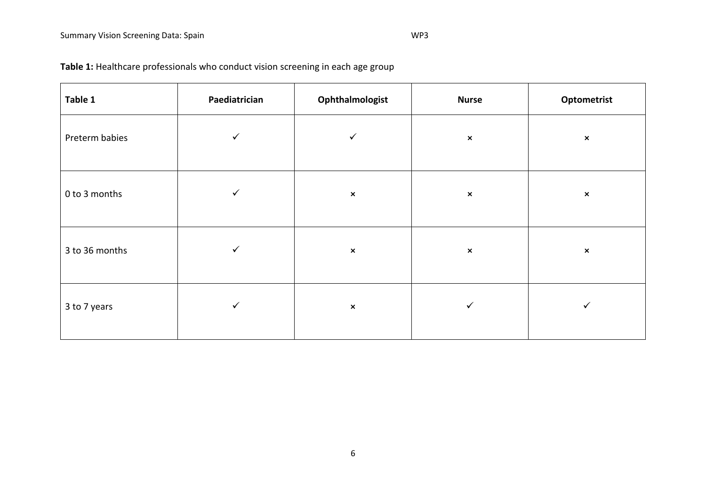| Table 1        | Paediatrician | Ophthalmologist | <b>Nurse</b>   | Optometrist    |
|----------------|---------------|-----------------|----------------|----------------|
| Preterm babies | $\checkmark$  | $\checkmark$    | $\pmb{\times}$ | $\pmb{\times}$ |
| 0 to 3 months  | $\checkmark$  | $\pmb{\times}$  | $\pmb{\times}$ | $\pmb{\times}$ |
| 3 to 36 months | $\checkmark$  | $\pmb{\times}$  | $\pmb{\times}$ | $\pmb{\times}$ |
| 3 to 7 years   | $\checkmark$  | $\pmb{\times}$  | $\checkmark$   | ✓              |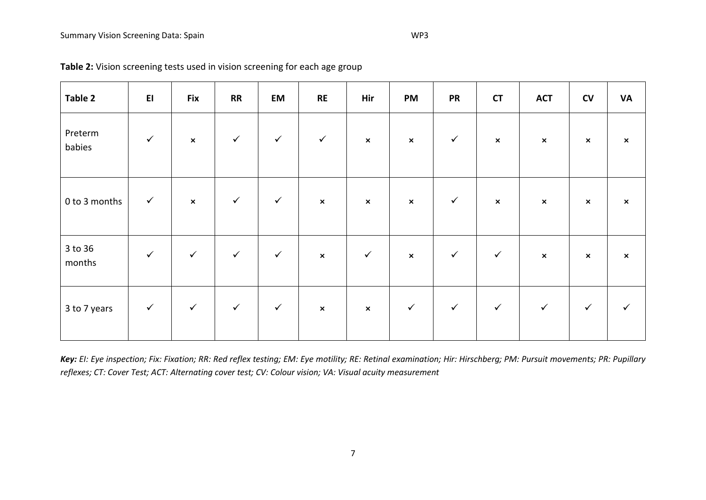| Table 2           | E1           | <b>Fix</b>     | RR           | EM           | <b>RE</b>                 | Hir            | PM             | <b>PR</b>    | CT             | <b>ACT</b>     | $\mathsf{C}\mathsf{V}$ | <b>VA</b>      |
|-------------------|--------------|----------------|--------------|--------------|---------------------------|----------------|----------------|--------------|----------------|----------------|------------------------|----------------|
| Preterm<br>babies | $\checkmark$ | $\pmb{\times}$ | $\checkmark$ | $\checkmark$ | $\checkmark$              | $\pmb{\times}$ | $\pmb{\times}$ | $\checkmark$ | $\pmb{\times}$ | $\pmb{\times}$ | $\pmb{\times}$         | $\pmb{\times}$ |
| 0 to 3 months     | $\checkmark$ | $\pmb{\times}$ | $\checkmark$ | $\checkmark$ | $\boldsymbol{\mathsf{x}}$ | $\pmb{\times}$ | $\pmb{\times}$ | $\checkmark$ | $\pmb{\times}$ | $\pmb{\times}$ | $\pmb{\times}$         | $\pmb{\times}$ |
| 3 to 36<br>months | $\checkmark$ | $\checkmark$   | $\checkmark$ | $\checkmark$ | $\pmb{\times}$            | $\checkmark$   | $\pmb{\times}$ | $\checkmark$ | $\checkmark$   | $\pmb{\times}$ | $\pmb{\times}$         | $\pmb{\times}$ |
| 3 to 7 years      | $\checkmark$ | $\checkmark$   | $\checkmark$ | $\checkmark$ | $\pmb{\times}$            | $\pmb{\times}$ | $\checkmark$   | $\checkmark$ | $\checkmark$   | $\checkmark$   | $\checkmark$           | $\checkmark$   |

**Table 2:** Vision screening tests used in vision screening for each age group

*Key: EI: Eye inspection; Fix: Fixation; RR: Red reflex testing; EM: Eye motility; RE: Retinal examination; Hir: Hirschberg; PM: Pursuit movements; PR: Pupillary reflexes; CT: Cover Test; ACT: Alternating cover test; CV: Colour vision; VA: Visual acuity measurement*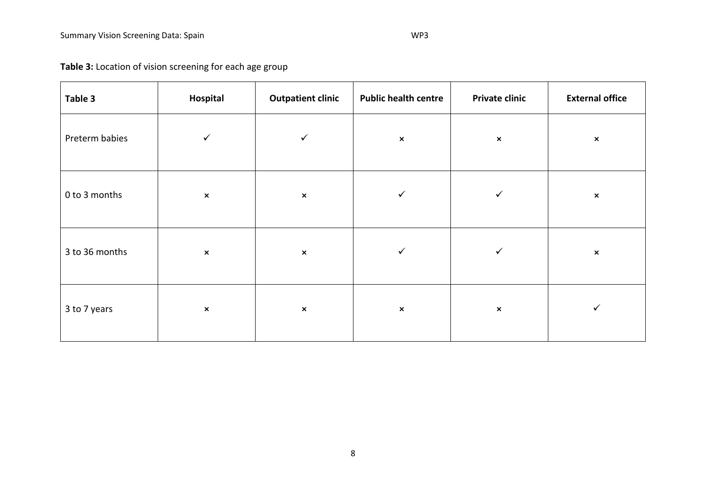**Table 3:** Location of vision screening for each age group

| Table 3        | Hospital       | <b>Outpatient clinic</b> | <b>Public health centre</b> | <b>Private clinic</b> | <b>External office</b> |
|----------------|----------------|--------------------------|-----------------------------|-----------------------|------------------------|
| Preterm babies | $\checkmark$   | $\checkmark$             | $\pmb{\times}$              | $\pmb{\times}$        | $\pmb{\times}$         |
| 0 to 3 months  | $\pmb{\times}$ | $\pmb{\times}$           | $\checkmark$                | $\checkmark$          | $\pmb{\times}$         |
| 3 to 36 months | $\pmb{\times}$ | $\pmb{\times}$           | $\checkmark$                |                       | $\pmb{\times}$         |
| 3 to 7 years   | $\pmb{\times}$ | $\pmb{\times}$           | $\pmb{\times}$              | $\pmb{\times}$        | $\checkmark$           |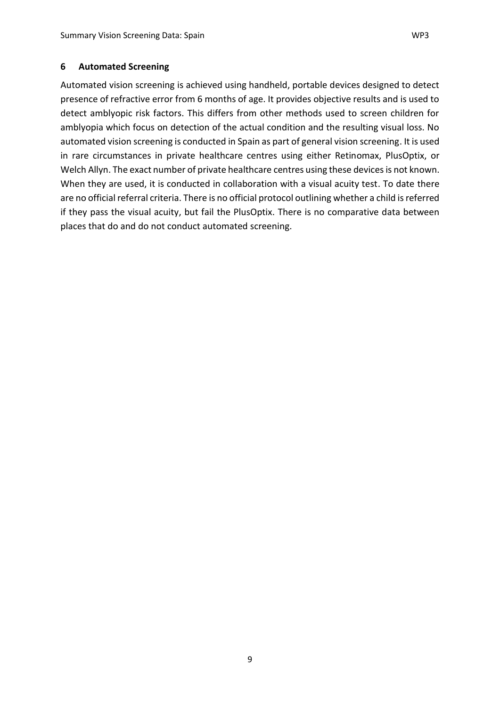<span id="page-14-0"></span>Automated vision screening is achieved using handheld, portable devices designed to detect presence of refractive error from 6 months of age. It provides objective results and is used to detect amblyopic risk factors. This differs from other methods used to screen children for amblyopia which focus on detection of the actual condition and the resulting visual loss. No automated vision screening is conducted in Spain as part of general vision screening. It is used in rare circumstances in private healthcare centres using either Retinomax, PlusOptix, or Welch Allyn. The exact number of private healthcare centres using these devices is not known. When they are used, it is conducted in collaboration with a visual acuity test. To date there are no official referral criteria. There is no official protocol outlining whether a child is referred if they pass the visual acuity, but fail the PlusOptix. There is no comparative data between places that do and do not conduct automated screening.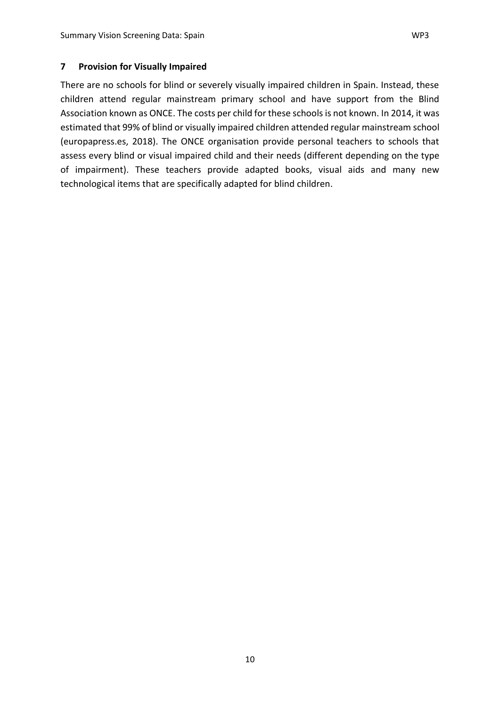<span id="page-15-0"></span>There are no schools for blind or severely visually impaired children in Spain. Instead, these children attend regular mainstream primary school and have support from the Blind Association known as ONCE. The costs per child for these schools is not known. In 2014, it was estimated that 99% of blind or visually impaired children attended regular mainstream school (europapress.es, 2018). The ONCE organisation provide personal teachers to schools that assess every blind or visual impaired child and their needs (different depending on the type of impairment). These teachers provide adapted books, visual aids and many new technological items that are specifically adapted for blind children.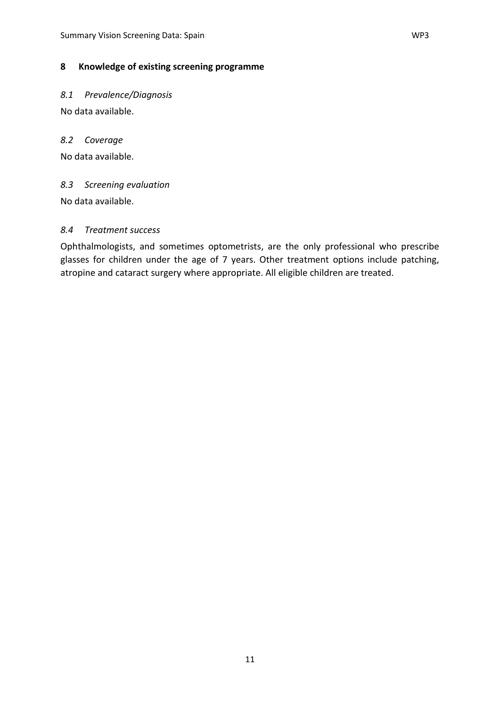#### <span id="page-16-0"></span>**8 Knowledge of existing screening programme**

#### <span id="page-16-1"></span>*8.1 Prevalence/Diagnosis*

No data available.

#### <span id="page-16-2"></span>*8.2 Coverage*

No data available.

#### <span id="page-16-3"></span>*8.3 Screening evaluation*

No data available.

#### <span id="page-16-4"></span>*8.4 Treatment success*

Ophthalmologists, and sometimes optometrists, are the only professional who prescribe glasses for children under the age of 7 years. Other treatment options include patching, atropine and cataract surgery where appropriate. All eligible children are treated.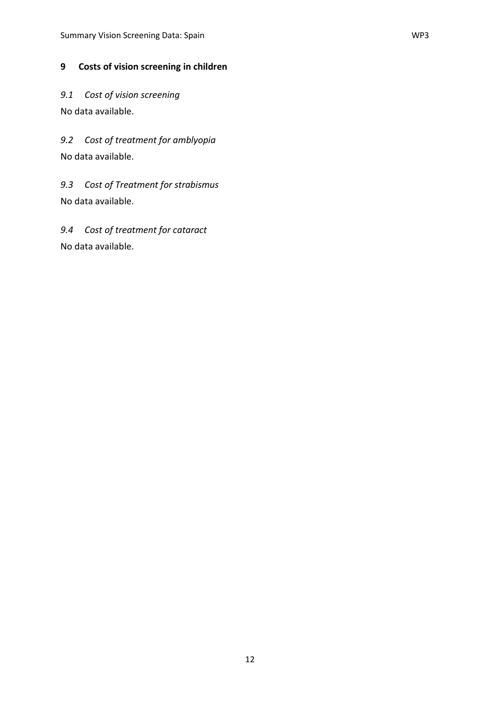#### <span id="page-17-0"></span>**9 Costs of vision screening in children**

<span id="page-17-1"></span>*9.1 Cost of vision screening* 

No data available.

<span id="page-17-2"></span>*9.2 Cost of treatment for amblyopia* No data available.

<span id="page-17-3"></span>*9.3 Cost of Treatment for strabismus*  No data available.

<span id="page-17-4"></span>*9.4 Cost of treatment for cataract* No data available.